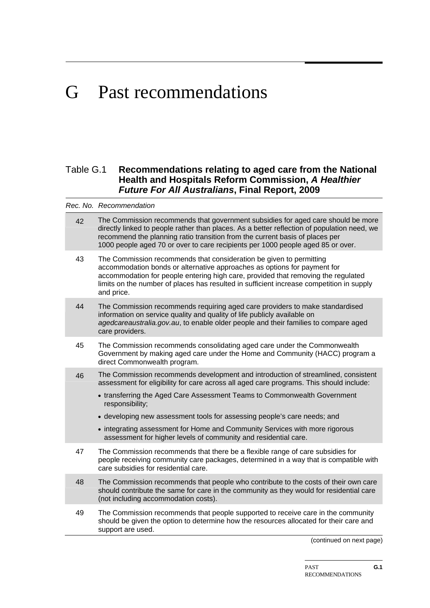# G Past recommendations

## Table G.1 **Recommendations relating to aged care from the National Health and Hospitals Reform Commission,** *A Healthier Future For All Australians***, Final Report, 2009**

|    | Rec. No. Recommendation                                                                                                                                                                                                                                                                                                                            |
|----|----------------------------------------------------------------------------------------------------------------------------------------------------------------------------------------------------------------------------------------------------------------------------------------------------------------------------------------------------|
| 42 | The Commission recommends that government subsidies for aged care should be more<br>directly linked to people rather than places. As a better reflection of population need, we<br>recommend the planning ratio transition from the current basis of places per<br>1000 people aged 70 or over to care recipients per 1000 people aged 85 or over. |
| 43 | The Commission recommends that consideration be given to permitting<br>accommodation bonds or alternative approaches as options for payment for<br>accommodation for people entering high care, provided that removing the regulated<br>limits on the number of places has resulted in sufficient increase competition in supply<br>and price.     |
| 44 | The Commission recommends requiring aged care providers to make standardised<br>information on service quality and quality of life publicly available on<br>agedcareaustralia.gov.au, to enable older people and their families to compare aged<br>care providers.                                                                                 |
| 45 | The Commission recommends consolidating aged care under the Commonwealth<br>Government by making aged care under the Home and Community (HACC) program a<br>direct Commonwealth program.                                                                                                                                                           |
| 46 | The Commission recommends development and introduction of streamlined, consistent<br>assessment for eligibility for care across all aged care programs. This should include:<br>• transferring the Aged Care Assessment Teams to Commonwealth Government<br>responsibility;                                                                        |
|    | • developing new assessment tools for assessing people's care needs; and                                                                                                                                                                                                                                                                           |
|    | • integrating assessment for Home and Community Services with more rigorous<br>assessment for higher levels of community and residential care.                                                                                                                                                                                                     |
| 47 | The Commission recommends that there be a flexible range of care subsidies for<br>people receiving community care packages, determined in a way that is compatible with<br>care subsidies for residential care.                                                                                                                                    |
| 48 | The Commission recommends that people who contribute to the costs of their own care<br>should contribute the same for care in the community as they would for residential care<br>(not including accommodation costs).                                                                                                                             |
| 49 | The Commission recommends that people supported to receive care in the community<br>should be given the option to determine how the resources allocated for their care and<br>support are used.                                                                                                                                                    |

(continued on next page)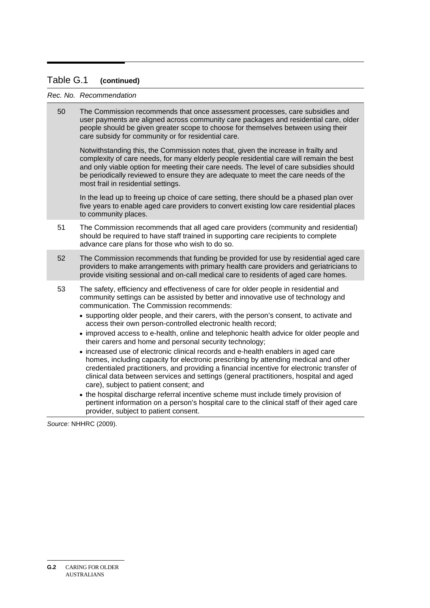## Table G.1 **(continued)**

#### *Rec. No. Recommendation*

50 The Commission recommends that once assessment processes, care subsidies and user payments are aligned across community care packages and residential care, older people should be given greater scope to choose for themselves between using their care subsidy for community or for residential care.

Notwithstanding this, the Commission notes that, given the increase in frailty and complexity of care needs, for many elderly people residential care will remain the best and only viable option for meeting their care needs. The level of care subsidies should be periodically reviewed to ensure they are adequate to meet the care needs of the most frail in residential settings.

In the lead up to freeing up choice of care setting, there should be a phased plan over five years to enable aged care providers to convert existing low care residential places to community places.

- 51 The Commission recommends that all aged care providers (community and residential) should be required to have staff trained in supporting care recipients to complete advance care plans for those who wish to do so.
- 52 The Commission recommends that funding be provided for use by residential aged care providers to make arrangements with primary health care providers and geriatricians to provide visiting sessional and on-call medical care to residents of aged care homes.
- 53 The safety, efficiency and effectiveness of care for older people in residential and community settings can be assisted by better and innovative use of technology and communication. The Commission recommends:
	- supporting older people, and their carers, with the person's consent, to activate and access their own person-controlled electronic health record;
	- improved access to e-health, online and telephonic health advice for older people and their carers and home and personal security technology;
	- increased use of electronic clinical records and e-health enablers in aged care homes, including capacity for electronic prescribing by attending medical and other credentialed practitioners, and providing a financial incentive for electronic transfer of clinical data between services and settings (general practitioners, hospital and aged care), subject to patient consent; and
	- the hospital discharge referral incentive scheme must include timely provision of pertinent information on a person's hospital care to the clinical staff of their aged care provider, subject to patient consent.

*Source:* NHHRC (2009).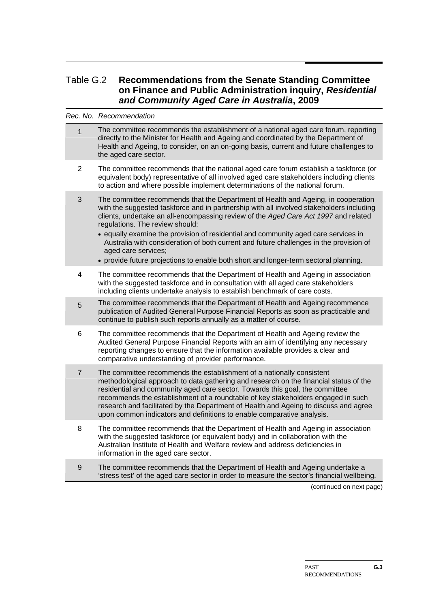## Table G.2 **Recommendations from the Senate Standing Committee on Finance and Public Administration inquiry,** *Residential and Community Aged Care in Australia***, 2009**

*Rec. No. Recommendation* 

| $\mathbf{1}$     | The committee recommends the establishment of a national aged care forum, reporting<br>directly to the Minister for Health and Ageing and coordinated by the Department of<br>Health and Ageing, to consider, on an on-going basis, current and future challenges to<br>the aged care sector.                                                                                                                                                                                                                                                                                                          |
|------------------|--------------------------------------------------------------------------------------------------------------------------------------------------------------------------------------------------------------------------------------------------------------------------------------------------------------------------------------------------------------------------------------------------------------------------------------------------------------------------------------------------------------------------------------------------------------------------------------------------------|
| $\overline{2}$   | The committee recommends that the national aged care forum establish a taskforce (or<br>equivalent body) representative of all involved aged care stakeholders including clients<br>to action and where possible implement determinations of the national forum.                                                                                                                                                                                                                                                                                                                                       |
| 3                | The committee recommends that the Department of Health and Ageing, in cooperation<br>with the suggested taskforce and in partnership with all involved stakeholders including<br>clients, undertake an all-encompassing review of the Aged Care Act 1997 and related<br>regulations. The review should:<br>• equally examine the provision of residential and community aged care services in<br>Australia with consideration of both current and future challenges in the provision of<br>aged care services;<br>• provide future projections to enable both short and longer-term sectoral planning. |
| 4                | The committee recommends that the Department of Health and Ageing in association<br>with the suggested taskforce and in consultation with all aged care stakeholders<br>including clients undertake analysis to establish benchmark of care costs.                                                                                                                                                                                                                                                                                                                                                     |
| 5                | The committee recommends that the Department of Health and Ageing recommence<br>publication of Audited General Purpose Financial Reports as soon as practicable and<br>continue to publish such reports annually as a matter of course.                                                                                                                                                                                                                                                                                                                                                                |
| 6                | The committee recommends that the Department of Health and Ageing review the<br>Audited General Purpose Financial Reports with an aim of identifying any necessary<br>reporting changes to ensure that the information available provides a clear and<br>comparative understanding of provider performance.                                                                                                                                                                                                                                                                                            |
| $\overline{7}$   | The committee recommends the establishment of a nationally consistent<br>methodological approach to data gathering and research on the financial status of the<br>residential and community aged care sector. Towards this goal, the committee<br>recommends the establishment of a roundtable of key stakeholders engaged in such<br>research and facilitated by the Department of Health and Ageing to discuss and agree<br>upon common indicators and definitions to enable comparative analysis.                                                                                                   |
| 8                | The committee recommends that the Department of Health and Ageing in association<br>with the suggested taskforce (or equivalent body) and in collaboration with the<br>Australian Institute of Health and Welfare review and address deficiencies in<br>information in the aged care sector.                                                                                                                                                                                                                                                                                                           |
| $\boldsymbol{9}$ | The committee recommends that the Department of Health and Ageing undertake a<br>'stress test' of the aged care sector in order to measure the sector's financial wellbeing.                                                                                                                                                                                                                                                                                                                                                                                                                           |

(continued on next page)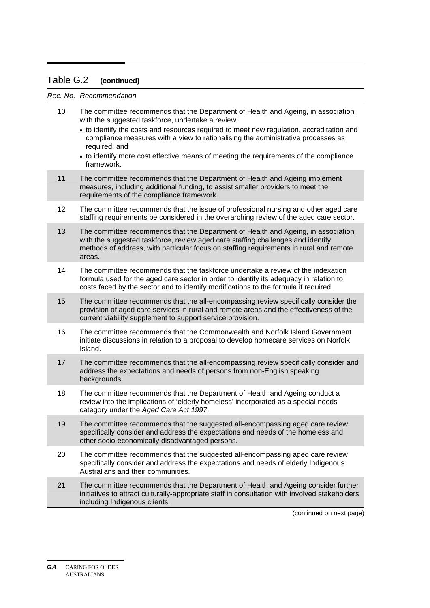## Table G.2 **(continued)**

*Rec. No. Recommendation* 

| 10<br>The committee recommends that the Department of Health and Ageing, in association<br>with the suggested taskforce, undertake a review:                                                                                                                                   |
|--------------------------------------------------------------------------------------------------------------------------------------------------------------------------------------------------------------------------------------------------------------------------------|
| • to identify the costs and resources required to meet new regulation, accreditation and<br>compliance measures with a view to rationalising the administrative processes as<br>required; and                                                                                  |
| • to identify more cost effective means of meeting the requirements of the compliance<br>framework.                                                                                                                                                                            |
| 11<br>The committee recommends that the Department of Health and Ageing implement<br>measures, including additional funding, to assist smaller providers to meet the<br>requirements of the compliance framework.                                                              |
| 12<br>The committee recommends that the issue of professional nursing and other aged care<br>staffing requirements be considered in the overarching review of the aged care sector.                                                                                            |
| 13<br>The committee recommends that the Department of Health and Ageing, in association<br>with the suggested taskforce, review aged care staffing challenges and identify<br>methods of address, with particular focus on staffing requirements in rural and remote<br>areas. |
| 14<br>The committee recommends that the taskforce undertake a review of the indexation<br>formula used for the aged care sector in order to identify its adequacy in relation to<br>costs faced by the sector and to identify modifications to the formula if required.        |
| 15<br>The committee recommends that the all-encompassing review specifically consider the<br>provision of aged care services in rural and remote areas and the effectiveness of the<br>current viability supplement to support service provision.                              |
| 16<br>The committee recommends that the Commonwealth and Norfolk Island Government<br>initiate discussions in relation to a proposal to develop homecare services on Norfolk<br>Island.                                                                                        |
| 17<br>The committee recommends that the all-encompassing review specifically consider and<br>address the expectations and needs of persons from non-English speaking<br>backgrounds.                                                                                           |
| 18<br>The committee recommends that the Department of Health and Ageing conduct a<br>review into the implications of 'elderly homeless' incorporated as a special needs<br>category under the Aged Care Act 1997.                                                              |
| The committee recommends that the suggested all-encompassing aged care review<br>19<br>specifically consider and address the expectations and needs of the homeless and<br>other socio-economically disadvantaged persons.                                                     |
| 20<br>The committee recommends that the suggested all-encompassing aged care review<br>specifically consider and address the expectations and needs of elderly Indigenous<br>Australians and their communities.                                                                |
| 21<br>The committee recommends that the Department of Health and Ageing consider further<br>initiatives to attract culturally-appropriate staff in consultation with involved stakeholders<br>including Indigenous clients.                                                    |
| (continued on next page)                                                                                                                                                                                                                                                       |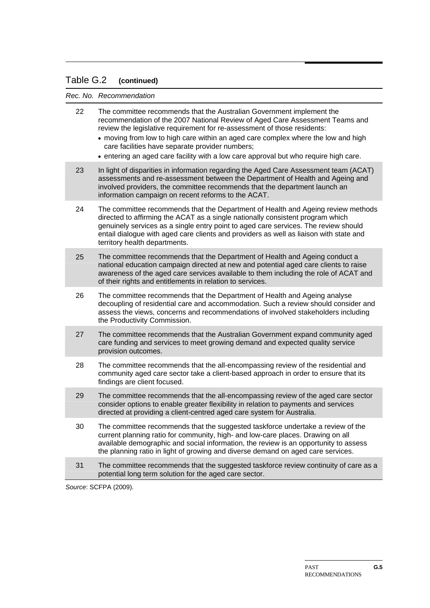## Table G.2 **(continued)**

*Rec. No. Recommendation* 

| 22 | The committee recommends that the Australian Government implement the<br>recommendation of the 2007 National Review of Aged Care Assessment Teams and<br>review the legislative requirement for re-assessment of those residents:<br>• moving from low to high care within an aged care complex where the low and high<br>care facilities have separate provider numbers;<br>• entering an aged care facility with a low care approval but who require high care. |
|----|-------------------------------------------------------------------------------------------------------------------------------------------------------------------------------------------------------------------------------------------------------------------------------------------------------------------------------------------------------------------------------------------------------------------------------------------------------------------|
| 23 | In light of disparities in information regarding the Aged Care Assessment team (ACAT)<br>assessments and re-assessment between the Department of Health and Ageing and<br>involved providers, the committee recommends that the department launch an<br>information campaign on recent reforms to the ACAT.                                                                                                                                                       |
| 24 | The committee recommends that the Department of Health and Ageing review methods<br>directed to affirming the ACAT as a single nationally consistent program which<br>genuinely services as a single entry point to aged care services. The review should<br>entail dialogue with aged care clients and providers as well as liaison with state and<br>territory health departments.                                                                              |
| 25 | The committee recommends that the Department of Health and Ageing conduct a<br>national education campaign directed at new and potential aged care clients to raise<br>awareness of the aged care services available to them including the role of ACAT and<br>of their rights and entitlements in relation to services.                                                                                                                                          |
| 26 | The committee recommends that the Department of Health and Ageing analyse<br>decoupling of residential care and accommodation. Such a review should consider and<br>assess the views, concerns and recommendations of involved stakeholders including<br>the Productivity Commission.                                                                                                                                                                             |
| 27 | The committee recommends that the Australian Government expand community aged<br>care funding and services to meet growing demand and expected quality service<br>provision outcomes.                                                                                                                                                                                                                                                                             |
| 28 | The committee recommends that the all-encompassing review of the residential and<br>community aged care sector take a client-based approach in order to ensure that its<br>findings are client focused.                                                                                                                                                                                                                                                           |
| 29 | The committee recommends that the all-encompassing review of the aged care sector<br>consider options to enable greater flexibility in relation to payments and services<br>directed at providing a client-centred aged care system for Australia.                                                                                                                                                                                                                |
| 30 | The committee recommends that the suggested taskforce undertake a review of the<br>current planning ratio for community, high- and low-care places. Drawing on all<br>available demographic and social information, the review is an opportunity to assess<br>the planning ratio in light of growing and diverse demand on aged care services.                                                                                                                    |
| 31 | The committee recommends that the suggested taskforce review continuity of care as a<br>potential long term solution for the aged care sector.                                                                                                                                                                                                                                                                                                                    |
|    |                                                                                                                                                                                                                                                                                                                                                                                                                                                                   |

*Source*: SCFPA (2009).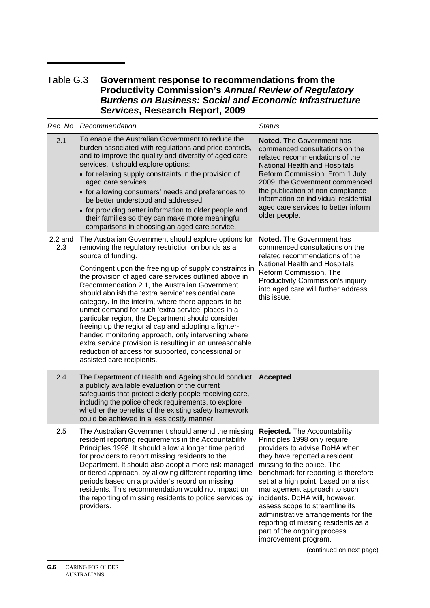## Table G.3 **Government response to recommendations from the Productivity Commission's** *Annual Review of Regulatory Burdens on Business: Social and Economic Infrastructure Services***, Research Report, 2009**

|                  | Rec. No. Recommendation                                                                                                                                                                                                                                                                                                                                                                                                                                                                                                                                                                                                                                                                                                                                                                 | <b>Status</b>                                                                                                                                                                                                                                                                                                                                                                                                                                                                        |
|------------------|-----------------------------------------------------------------------------------------------------------------------------------------------------------------------------------------------------------------------------------------------------------------------------------------------------------------------------------------------------------------------------------------------------------------------------------------------------------------------------------------------------------------------------------------------------------------------------------------------------------------------------------------------------------------------------------------------------------------------------------------------------------------------------------------|--------------------------------------------------------------------------------------------------------------------------------------------------------------------------------------------------------------------------------------------------------------------------------------------------------------------------------------------------------------------------------------------------------------------------------------------------------------------------------------|
| 2.1              | To enable the Australian Government to reduce the<br>burden associated with regulations and price controls,<br>and to improve the quality and diversity of aged care<br>services, it should explore options:<br>• for relaxing supply constraints in the provision of<br>aged care services<br>• for allowing consumers' needs and preferences to<br>be better understood and addressed<br>• for providing better information to older people and<br>their families so they can make more meaningful<br>comparisons in choosing an aged care service.                                                                                                                                                                                                                                   | <b>Noted.</b> The Government has<br>commenced consultations on the<br>related recommendations of the<br>National Health and Hospitals<br>Reform Commission. From 1 July<br>2009, the Government commenced<br>the publication of non-compliance<br>information on individual residential<br>aged care services to better inform<br>older people.                                                                                                                                      |
| $2.2$ and<br>2.3 | The Australian Government should explore options for<br>removing the regulatory restriction on bonds as a<br>source of funding.<br>Contingent upon the freeing up of supply constraints in<br>the provision of aged care services outlined above in<br>Recommendation 2.1, the Australian Government<br>should abolish the 'extra service' residential care<br>category. In the interim, where there appears to be<br>unmet demand for such 'extra service' places in a<br>particular region, the Department should consider<br>freeing up the regional cap and adopting a lighter-<br>handed monitoring approach, only intervening where<br>extra service provision is resulting in an unreasonable<br>reduction of access for supported, concessional or<br>assisted care recipients. | <b>Noted.</b> The Government has<br>commenced consultations on the<br>related recommendations of the<br>National Health and Hospitals<br>Reform Commission. The<br><b>Productivity Commission's inquiry</b><br>into aged care will further address<br>this issue.                                                                                                                                                                                                                    |
| 2.4              | The Department of Health and Ageing should conduct Accepted<br>a publicly available evaluation of the current<br>safeguards that protect elderly people receiving care,<br>including the police check requirements, to explore<br>whether the benefits of the existing safety framework<br>could be achieved in a less costly manner.                                                                                                                                                                                                                                                                                                                                                                                                                                                   |                                                                                                                                                                                                                                                                                                                                                                                                                                                                                      |
| 2.5              | The Australian Government should amend the missing<br>resident reporting requirements in the Accountability<br>Principles 1998. It should allow a longer time period<br>for providers to report missing residents to the<br>Department. It should also adopt a more risk managed<br>or tiered approach, by allowing different reporting time<br>periods based on a provider's record on missing<br>residents. This recommendation would not impact on<br>the reporting of missing residents to police services by<br>providers.                                                                                                                                                                                                                                                         | Rejected. The Accountability<br>Principles 1998 only require<br>providers to advise DoHA when<br>they have reported a resident<br>missing to the police. The<br>benchmark for reporting is therefore<br>set at a high point, based on a risk<br>management approach to such<br>incidents. DoHA will, however,<br>assess scope to streamline its<br>administrative arrangements for the<br>reporting of missing residents as a<br>part of the ongoing process<br>improvement program. |

(continued on next page)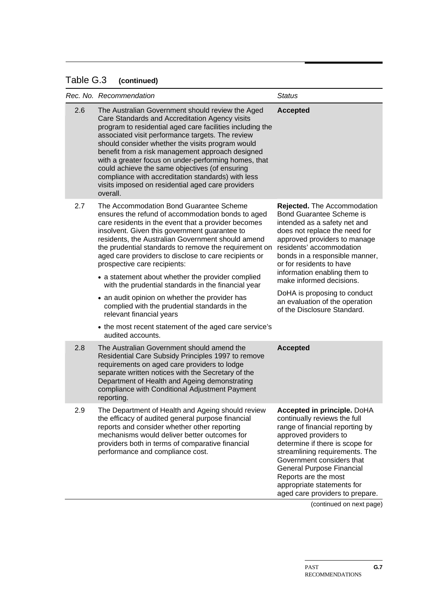### Table G.3 **(continued)**

|     | Rec. No. Recommendation                                                                                                                                                                                                                                                                                                                                                                                                                                                                                                                                      | <b>Status</b>                                                                                                                                                                                                                                                                                                                                                               |
|-----|--------------------------------------------------------------------------------------------------------------------------------------------------------------------------------------------------------------------------------------------------------------------------------------------------------------------------------------------------------------------------------------------------------------------------------------------------------------------------------------------------------------------------------------------------------------|-----------------------------------------------------------------------------------------------------------------------------------------------------------------------------------------------------------------------------------------------------------------------------------------------------------------------------------------------------------------------------|
| 2.6 | The Australian Government should review the Aged<br>Care Standards and Accreditation Agency visits<br>program to residential aged care facilities including the<br>associated visit performance targets. The review<br>should consider whether the visits program would<br>benefit from a risk management approach designed<br>with a greater focus on under-performing homes, that<br>could achieve the same objectives (of ensuring<br>compliance with accreditation standards) with less<br>visits imposed on residential aged care providers<br>overall. | <b>Accepted</b>                                                                                                                                                                                                                                                                                                                                                             |
| 2.7 | The Accommodation Bond Guarantee Scheme<br>ensures the refund of accommodation bonds to aged<br>care residents in the event that a provider becomes<br>insolvent. Given this government guarantee to<br>residents, the Australian Government should amend<br>the prudential standards to remove the requirement on<br>aged care providers to disclose to care recipients or<br>prospective care recipients:<br>• a statement about whether the provider complied<br>with the prudential standards in the financial year                                      | Rejected. The Accommodation<br><b>Bond Guarantee Scheme is</b><br>intended as a safety net and<br>does not replace the need for<br>approved providers to manage<br>residents' accommodation<br>bonds in a responsible manner,<br>or for residents to have<br>information enabling them to<br>make informed decisions.                                                       |
|     | • an audit opinion on whether the provider has<br>complied with the prudential standards in the<br>relevant financial years<br>• the most recent statement of the aged care service's                                                                                                                                                                                                                                                                                                                                                                        | DoHA is proposing to conduct<br>an evaluation of the operation<br>of the Disclosure Standard.                                                                                                                                                                                                                                                                               |
| 2.8 | audited accounts.<br>The Australian Government should amend the<br>Residential Care Subsidy Principles 1997 to remove<br>requirements on aged care providers to lodge<br>separate written notices with the Secretary of the<br>Department of Health and Ageing demonstrating<br>compliance with Conditional Adjustment Payment<br>reporting.                                                                                                                                                                                                                 | <b>Accepted</b>                                                                                                                                                                                                                                                                                                                                                             |
| 2.9 | The Department of Health and Ageing should review<br>the efficacy of audited general purpose financial<br>reports and consider whether other reporting<br>mechanisms would deliver better outcomes for<br>providers both in terms of comparative financial<br>performance and compliance cost.                                                                                                                                                                                                                                                               | Accepted in principle. DoHA<br>continually reviews the full<br>range of financial reporting by<br>approved providers to<br>determine if there is scope for<br>streamlining requirements. The<br>Government considers that<br>General Purpose Financial<br>Reports are the most<br>appropriate statements for<br>aged care providers to prepare.<br>(continued on next page) |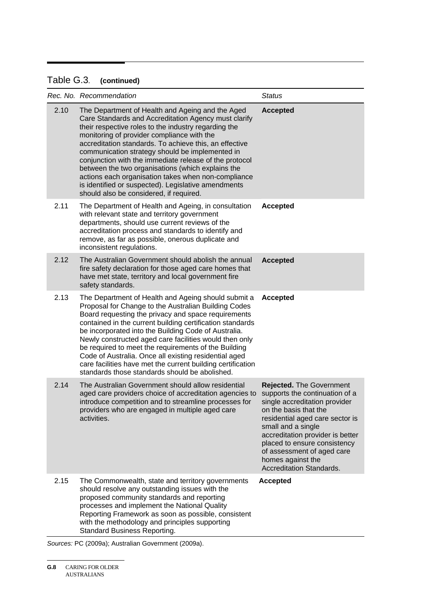## Table G.3. **(continued)**

|      | Rec. No. Recommendation                                                                                                                                                                                                                                                                                                                                                                                                                                                                                                                                                                             | <b>Status</b>                                                                                                                                                                                                                                                                                                                           |
|------|-----------------------------------------------------------------------------------------------------------------------------------------------------------------------------------------------------------------------------------------------------------------------------------------------------------------------------------------------------------------------------------------------------------------------------------------------------------------------------------------------------------------------------------------------------------------------------------------------------|-----------------------------------------------------------------------------------------------------------------------------------------------------------------------------------------------------------------------------------------------------------------------------------------------------------------------------------------|
| 2.10 | The Department of Health and Ageing and the Aged<br>Care Standards and Accreditation Agency must clarify<br>their respective roles to the industry regarding the<br>monitoring of provider compliance with the<br>accreditation standards. To achieve this, an effective<br>communication strategy should be implemented in<br>conjunction with the immediate release of the protocol<br>between the two organisations (which explains the<br>actions each organisation takes when non-compliance<br>is identified or suspected). Legislative amendments<br>should also be considered, if required. | <b>Accepted</b>                                                                                                                                                                                                                                                                                                                         |
| 2.11 | The Department of Health and Ageing, in consultation<br>with relevant state and territory government<br>departments, should use current reviews of the<br>accreditation process and standards to identify and<br>remove, as far as possible, onerous duplicate and<br>inconsistent regulations.                                                                                                                                                                                                                                                                                                     | <b>Accepted</b>                                                                                                                                                                                                                                                                                                                         |
| 2.12 | The Australian Government should abolish the annual<br>fire safety declaration for those aged care homes that<br>have met state, territory and local government fire<br>safety standards.                                                                                                                                                                                                                                                                                                                                                                                                           | <b>Accepted</b>                                                                                                                                                                                                                                                                                                                         |
| 2.13 | The Department of Health and Ageing should submit a<br>Proposal for Change to the Australian Building Codes<br>Board requesting the privacy and space requirements<br>contained in the current building certification standards<br>be incorporated into the Building Code of Australia.<br>Newly constructed aged care facilities would then only<br>be required to meet the requirements of the Building<br>Code of Australia. Once all existing residential aged<br>care facilities have met the current building certification<br>standards those standards should be abolished.                 | <b>Accepted</b>                                                                                                                                                                                                                                                                                                                         |
| 2.14 | The Australian Government should allow residential<br>aged care providers choice of accreditation agencies to<br>introduce competition and to streamline processes for<br>providers who are engaged in multiple aged care<br>activities.                                                                                                                                                                                                                                                                                                                                                            | <b>Rejected.</b> The Government<br>supports the continuation of a<br>single accreditation provider<br>on the basis that the<br>residential aged care sector is<br>small and a single<br>accreditation provider is better<br>placed to ensure consistency<br>of assessment of aged care<br>homes against the<br>Accreditation Standards. |
| 2.15 | The Commonwealth, state and territory governments<br>should resolve any outstanding issues with the<br>proposed community standards and reporting<br>processes and implement the National Quality<br>Reporting Framework as soon as possible, consistent<br>with the methodology and principles supporting<br><b>Standard Business Reporting.</b>                                                                                                                                                                                                                                                   | <b>Accepted</b>                                                                                                                                                                                                                                                                                                                         |

*Sources:* PC (2009a); Australian Government (2009a).